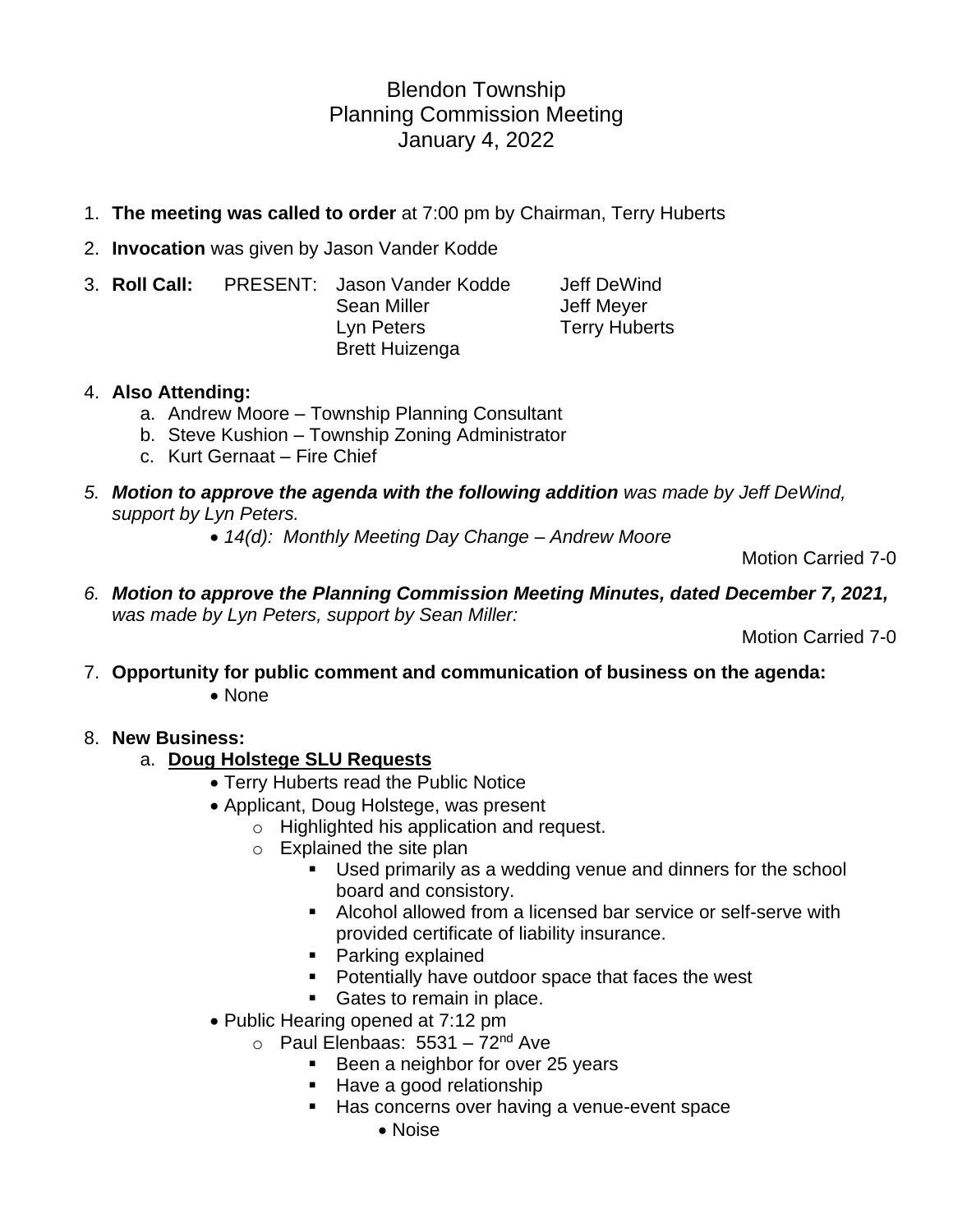Blendon Township Planning Commission Meeting January 4, 2022

- 1. **The meeting was called to order** at 7:00 pm by Chairman, Terry Huberts
- 2. **Invocation** was given by Jason Vander Kodde
- 3. **Roll Call:** PRESENT: Jason Vander Kodde Jeff DeWind Sean Miller **Jeff Meyer** Lyn Peters Terry Huberts Brett Huizenga

#### 4. **Also Attending:**

- a. Andrew Moore Township Planning Consultant
- b. Steve Kushion Township Zoning Administrator
- c. Kurt Gernaat Fire Chief
- *5. Motion to approve the agenda with the following addition was made by Jeff DeWind, support by Lyn Peters.*
	- *14(d): Monthly Meeting Day Change – Andrew Moore*

Motion Carried 7-0

*6. Motion to approve the Planning Commission Meeting Minutes, dated December 7, 2021, was made by Lyn Peters, support by Sean Miller:*

Motion Carried 7-0

7. **Opportunity for public comment and communication of business on the agenda:** • None

#### 8. **New Business:**

#### a. **Doug Holstege SLU Requests**

- Terry Huberts read the Public Notice
- Applicant, Doug Holstege, was present
	- o Highlighted his application and request.
	- o Explained the site plan
		- Used primarily as a wedding venue and dinners for the school board and consistory.
		- **EXE** Alcohol allowed from a licensed bar service or self-serve with provided certificate of liability insurance.
		- Parking explained
		- Potentially have outdoor space that faces the west
		- Gates to remain in place.
- Public Hearing opened at 7:12 pm
	- $\circ$  Paul Elenbaas: 5531 72<sup>nd</sup> Ave
		- Been a neighbor for over 25 years
		- Have a good relationship
		- Has concerns over having a venue-event space
			- Noise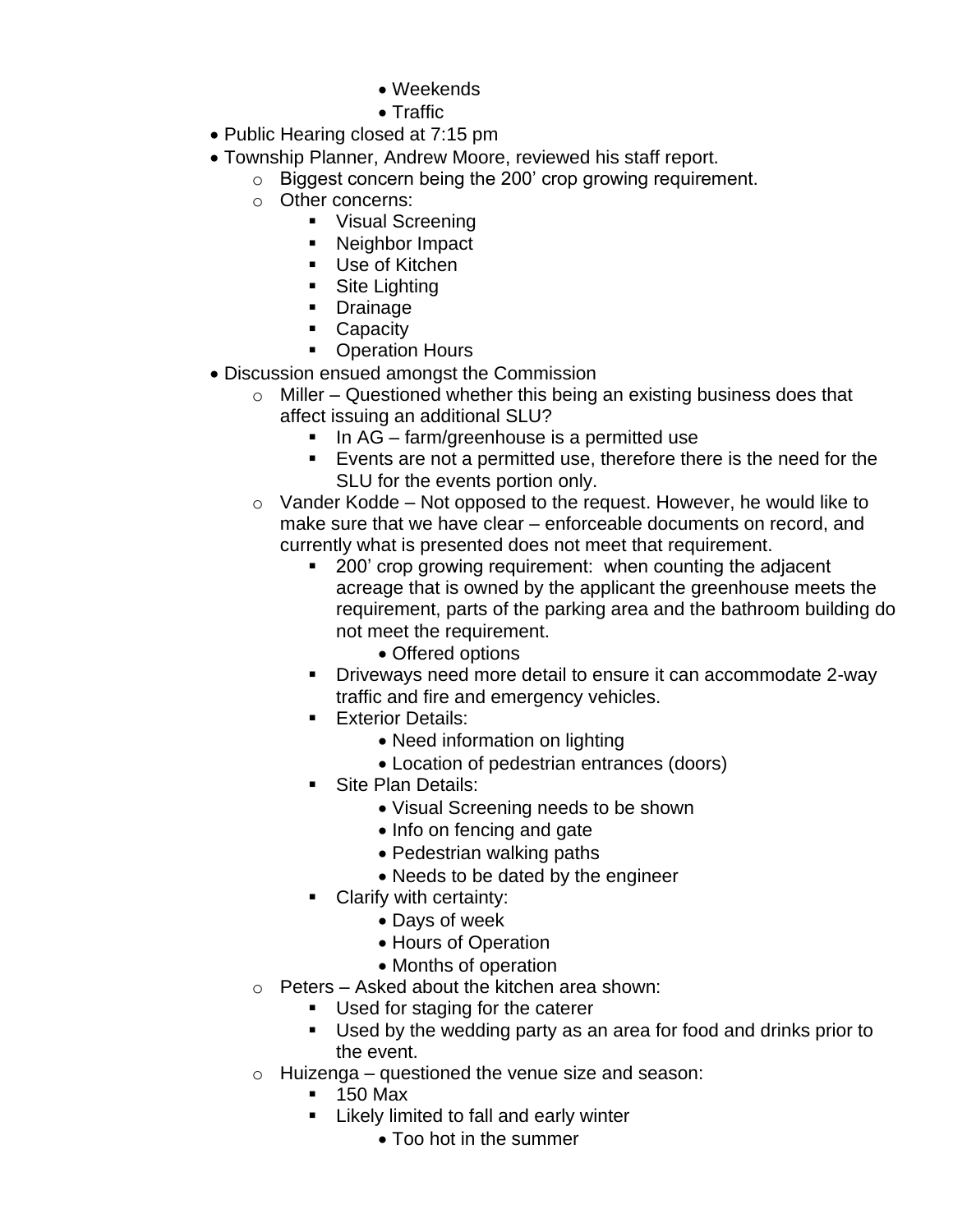- Weekends
- Traffic
- Public Hearing closed at 7:15 pm
- Township Planner, Andrew Moore, reviewed his staff report.
	- o Biggest concern being the 200' crop growing requirement.
	- o Other concerns:
		- Visual Screening
		- Neighbor Impact
		- Use of Kitchen
		- Site Lighting
		- Drainage
		- Capacity
		- Operation Hours
- Discussion ensued amongst the Commission
	- $\circ$  Miller Questioned whether this being an existing business does that affect issuing an additional SLU?
		- $\blacksquare$  In AG farm/greenhouse is a permitted use
		- Events are not a permitted use, therefore there is the need for the SLU for the events portion only.
	- $\circ$  Vander Kodde Not opposed to the request. However, he would like to make sure that we have clear – enforceable documents on record, and currently what is presented does not meet that requirement.
		- 200' crop growing requirement: when counting the adjacent acreage that is owned by the applicant the greenhouse meets the requirement, parts of the parking area and the bathroom building do not meet the requirement.
			- Offered options
		- **•** Driveways need more detail to ensure it can accommodate 2-way traffic and fire and emergency vehicles.
		- **Exterior Details:** 
			- Need information on lighting
			- Location of pedestrian entrances (doors)
		- Site Plan Details:
			- Visual Screening needs to be shown
			- Info on fencing and gate
			- Pedestrian walking paths
			- Needs to be dated by the engineer
		- Clarify with certainty:
			- Days of week
			- Hours of Operation
			- Months of operation
	- $\circ$  Peters Asked about the kitchen area shown:
		- Used for staging for the caterer
		- Used by the wedding party as an area for food and drinks prior to the event.
	- $\circ$  Huizenga questioned the venue size and season:
		- 150 Max
		- Likely limited to fall and early winter
			- Too hot in the summer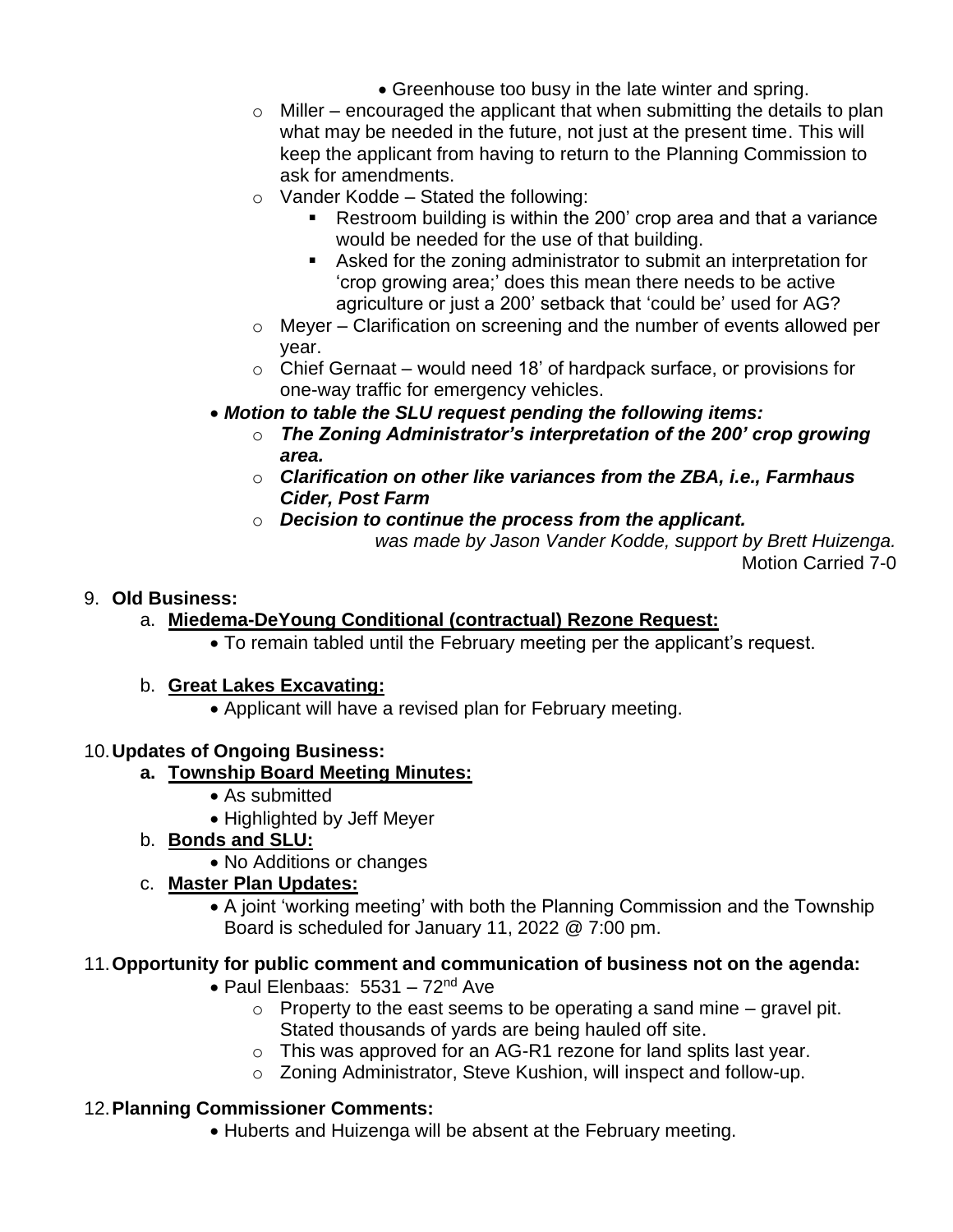- Greenhouse too busy in the late winter and spring.
- $\circ$  Miller encouraged the applicant that when submitting the details to plan what may be needed in the future, not just at the present time. This will keep the applicant from having to return to the Planning Commission to ask for amendments.
- $\circ$  Vander Kodde Stated the following:
	- Restroom building is within the 200' crop area and that a variance would be needed for the use of that building.
	- Asked for the zoning administrator to submit an interpretation for 'crop growing area;' does this mean there needs to be active agriculture or just a 200' setback that 'could be' used for AG?
- o Meyer Clarification on screening and the number of events allowed per year.
- o Chief Gernaat would need 18' of hardpack surface, or provisions for one-way traffic for emergency vehicles.
- *Motion to table the SLU request pending the following items:*
	- o *The Zoning Administrator's interpretation of the 200' crop growing area.*
	- o *Clarification on other like variances from the ZBA, i.e., Farmhaus Cider, Post Farm*
	- o *Decision to continue the process from the applicant. was made by Jason Vander Kodde, support by Brett Huizenga.* Motion Carried 7-0

## 9. **Old Business:**

# a. **Miedema-DeYoung Conditional (contractual) Rezone Request:**

• To remain tabled until the February meeting per the applicant's request.

## b. **Great Lakes Excavating:**

• Applicant will have a revised plan for February meeting.

## 10.**Updates of Ongoing Business:**

# **a. Township Board Meeting Minutes:**

- As submitted
- Highlighted by Jeff Meyer
- b. **Bonds and SLU:**
	- No Additions or changes

# c. **Master Plan Updates:**

• A joint 'working meeting' with both the Planning Commission and the Township Board is scheduled for January 11, 2022 @ 7:00 pm.

# 11.**Opportunity for public comment and communication of business not on the agenda:**

- Paul Elenbaas:  $5531 72<sup>nd</sup>$  Ave
	- $\circ$  Property to the east seems to be operating a sand mine gravel pit. Stated thousands of yards are being hauled off site.
	- o This was approved for an AG-R1 rezone for land splits last year.
	- o Zoning Administrator, Steve Kushion, will inspect and follow-up.

## 12.**Planning Commissioner Comments:**

• Huberts and Huizenga will be absent at the February meeting.